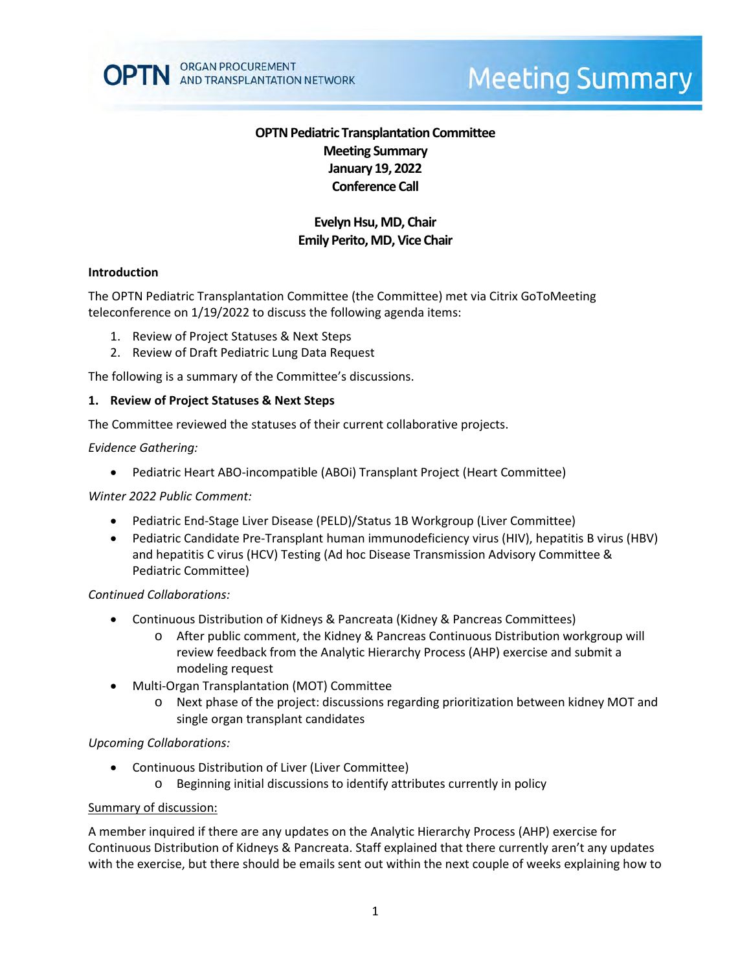

# **Meeting Summary**

# **OPTN Pediatric Transplantation Committee Meeting Summary January 19, 2022 Conference Call**

# **Evelyn Hsu, MD, Chair Emily Perito, MD, Vice Chair**

#### **Introduction**

The OPTN Pediatric Transplantation Committee (the Committee) met via Citrix GoToMeeting teleconference on 1/19/2022 to discuss the following agenda items:

- 1. Review of Project Statuses & Next Steps
- 2. Review of Draft Pediatric Lung Data Request

The following is a summary of the Committee's discussions.

#### **1. Review of Project Statuses & Next Steps**

The Committee reviewed the statuses of their current collaborative projects.

#### *Evidence Gathering:*

• Pediatric Heart ABO-incompatible (ABOi) Transplant Project (Heart Committee)

#### *Winter 2022 Public Comment:*

- Pediatric End-Stage Liver Disease (PELD)/Status 1B Workgroup (Liver Committee)
- Pediatric Candidate Pre-Transplant human immunodeficiency virus (HIV), hepatitis B virus (HBV) and hepatitis C virus (HCV) Testing (Ad hoc Disease Transmission Advisory Committee & Pediatric Committee)

#### *Continued Collaborations:*

- Continuous Distribution of Kidneys & Pancreata (Kidney & Pancreas Committees)
	- o After public comment, the Kidney & Pancreas Continuous Distribution workgroup will review feedback from the Analytic Hierarchy Process (AHP) exercise and submit a modeling request
- Multi-Organ Transplantation (MOT) Committee
	- o Next phase of the project: discussions regarding prioritization between kidney MOT and single organ transplant candidates

## *Upcoming Collaborations:*

- Continuous Distribution of Liver (Liver Committee)
	- o Beginning initial discussions to identify attributes currently in policy

#### Summary of discussion:

A member inquired if there are any updates on the Analytic Hierarchy Process (AHP) exercise for Continuous Distribution of Kidneys & Pancreata. Staff explained that there currently aren't any updates with the exercise, but there should be emails sent out within the next couple of weeks explaining how to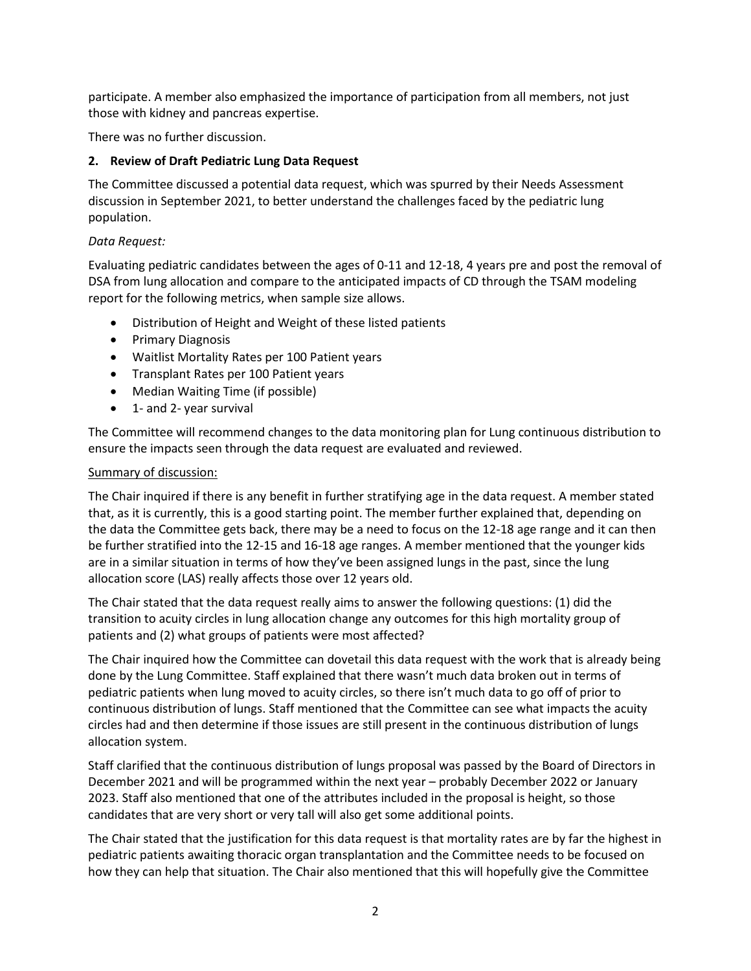participate. A member also emphasized the importance of participation from all members, not just those with kidney and pancreas expertise.

There was no further discussion.

# **2. Review of Draft Pediatric Lung Data Request**

The Committee discussed a potential data request, which was spurred by their Needs Assessment discussion in September 2021, to better understand the challenges faced by the pediatric lung population.

## *Data Request:*

Evaluating pediatric candidates between the ages of 0-11 and 12-18, 4 years pre and post the removal of DSA from lung allocation and compare to the anticipated impacts of CD through the TSAM modeling report for the following metrics, when sample size allows.

- Distribution of Height and Weight of these listed patients
- Primary Diagnosis
- Waitlist Mortality Rates per 100 Patient years
- Transplant Rates per 100 Patient years
- Median Waiting Time (if possible)
- 1- and 2- year survival

The Committee will recommend changes to the data monitoring plan for Lung continuous distribution to ensure the impacts seen through the data request are evaluated and reviewed.

## Summary of discussion:

The Chair inquired if there is any benefit in further stratifying age in the data request. A member stated that, as it is currently, this is a good starting point. The member further explained that, depending on the data the Committee gets back, there may be a need to focus on the 12-18 age range and it can then be further stratified into the 12-15 and 16-18 age ranges. A member mentioned that the younger kids are in a similar situation in terms of how they've been assigned lungs in the past, since the lung allocation score (LAS) really affects those over 12 years old.

The Chair stated that the data request really aims to answer the following questions: (1) did the transition to acuity circles in lung allocation change any outcomes for this high mortality group of patients and (2) what groups of patients were most affected?

The Chair inquired how the Committee can dovetail this data request with the work that is already being done by the Lung Committee. Staff explained that there wasn't much data broken out in terms of pediatric patients when lung moved to acuity circles, so there isn't much data to go off of prior to continuous distribution of lungs. Staff mentioned that the Committee can see what impacts the acuity circles had and then determine if those issues are still present in the continuous distribution of lungs allocation system.

Staff clarified that the continuous distribution of lungs proposal was passed by the Board of Directors in December 2021 and will be programmed within the next year – probably December 2022 or January 2023. Staff also mentioned that one of the attributes included in the proposal is height, so those candidates that are very short or very tall will also get some additional points.

The Chair stated that the justification for this data request is that mortality rates are by far the highest in pediatric patients awaiting thoracic organ transplantation and the Committee needs to be focused on how they can help that situation. The Chair also mentioned that this will hopefully give the Committee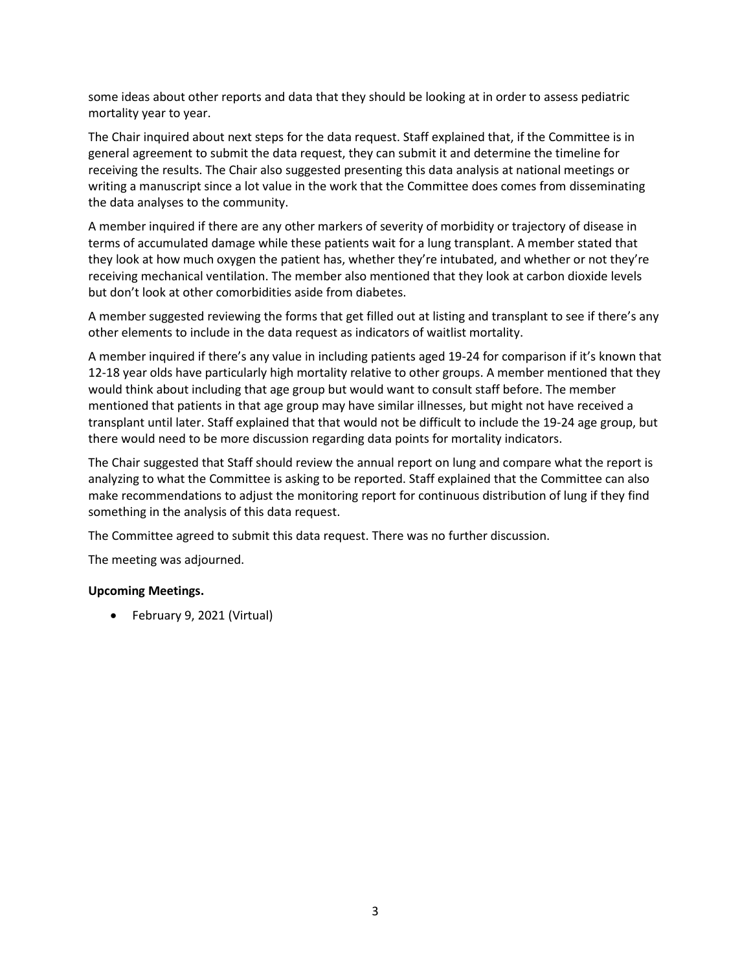some ideas about other reports and data that they should be looking at in order to assess pediatric mortality year to year.

The Chair inquired about next steps for the data request. Staff explained that, if the Committee is in general agreement to submit the data request, they can submit it and determine the timeline for receiving the results. The Chair also suggested presenting this data analysis at national meetings or writing a manuscript since a lot value in the work that the Committee does comes from disseminating the data analyses to the community.

A member inquired if there are any other markers of severity of morbidity or trajectory of disease in terms of accumulated damage while these patients wait for a lung transplant. A member stated that they look at how much oxygen the patient has, whether they're intubated, and whether or not they're receiving mechanical ventilation. The member also mentioned that they look at carbon dioxide levels but don't look at other comorbidities aside from diabetes.

A member suggested reviewing the forms that get filled out at listing and transplant to see if there's any other elements to include in the data request as indicators of waitlist mortality.

A member inquired if there's any value in including patients aged 19-24 for comparison if it's known that 12-18 year olds have particularly high mortality relative to other groups. A member mentioned that they would think about including that age group but would want to consult staff before. The member mentioned that patients in that age group may have similar illnesses, but might not have received a transplant until later. Staff explained that that would not be difficult to include the 19-24 age group, but there would need to be more discussion regarding data points for mortality indicators.

The Chair suggested that Staff should review the annual report on lung and compare what the report is analyzing to what the Committee is asking to be reported. Staff explained that the Committee can also make recommendations to adjust the monitoring report for continuous distribution of lung if they find something in the analysis of this data request.

The Committee agreed to submit this data request. There was no further discussion.

The meeting was adjourned.

## **Upcoming Meetings.**

• February 9, 2021 (Virtual)